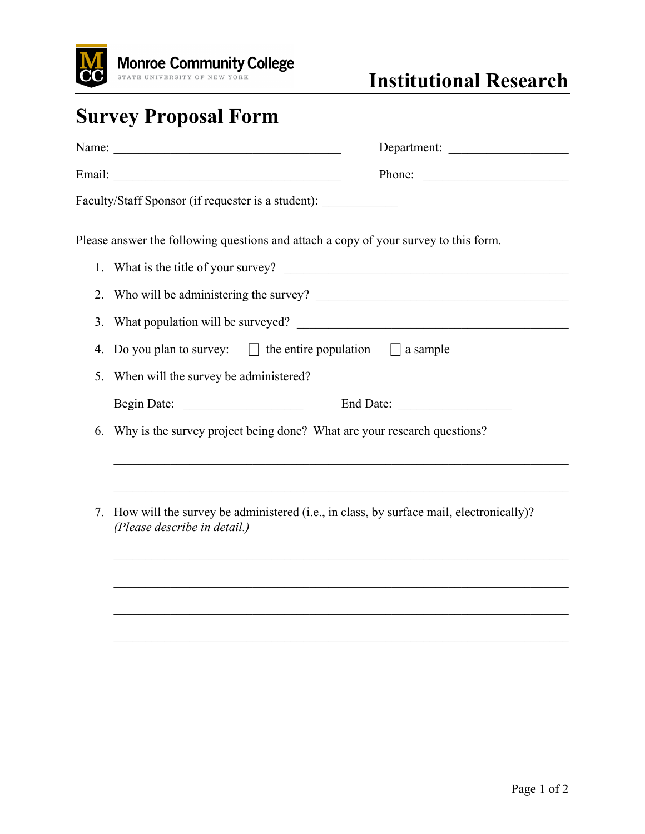

## **Survey Proposal Form**

|    | Name: $\frac{1}{2}$<br>Department:                                                                                     |  |  |  |
|----|------------------------------------------------------------------------------------------------------------------------|--|--|--|
|    | Phone:                                                                                                                 |  |  |  |
|    | Faculty/Staff Sponsor (if requester is a student):                                                                     |  |  |  |
|    | Please answer the following questions and attach a copy of your survey to this form.                                   |  |  |  |
|    |                                                                                                                        |  |  |  |
|    |                                                                                                                        |  |  |  |
|    |                                                                                                                        |  |  |  |
| 4. | Do you plan to survey: $\Box$ the entire population $\Box$ a sample                                                    |  |  |  |
| 5. | When will the survey be administered?                                                                                  |  |  |  |
|    |                                                                                                                        |  |  |  |
| 6. | Why is the survey project being done? What are your research questions?                                                |  |  |  |
| 7. | How will the survey be administered (i.e., in class, by surface mail, electronically)?<br>(Please describe in detail.) |  |  |  |
|    | ,我们也不能在这里的时候,我们也不能在这里的时候,我们也不能会在这里的时候,我们也不能会在这里的时候,我们也不能会在这里的时候,我们也不能会在这里的时候,我们也                                       |  |  |  |

 $\mathcal{L}_\text{max}$  , and the contribution of the contribution of the contribution of the contribution of the contribution of the contribution of the contribution of the contribution of the contribution of the contribution of t